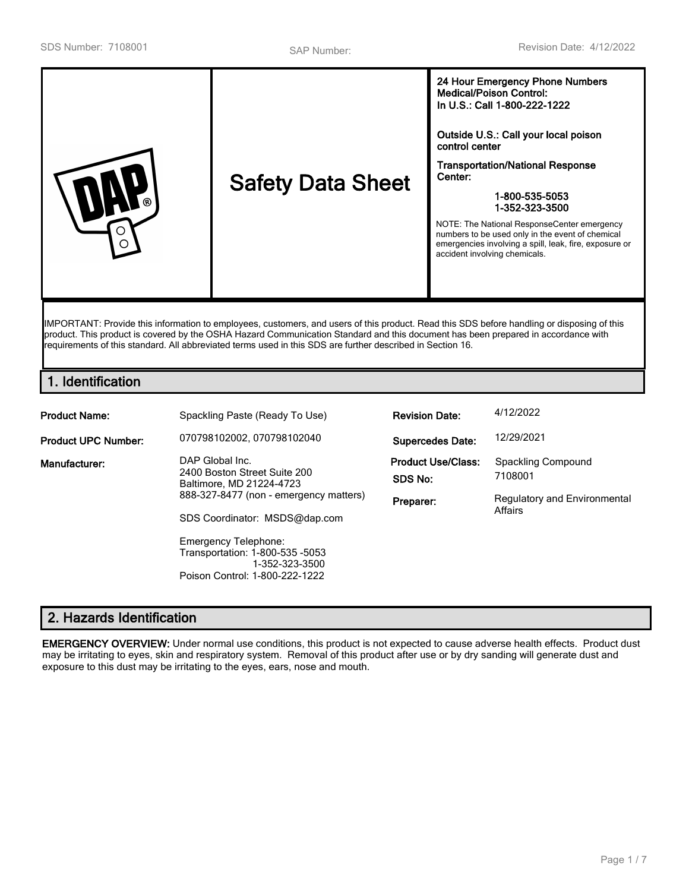IMPORTANT: Provide this information to employees, customers, and users of this product. Read this SDS before handling or disposing of this product. This product is covered by the OSHA Hazard Communication Standard and this document has been prepared in accordance with requirements of this standard. All abbreviated terms used in this SDS are further described in Section 16.

# **1. Identification**

| <b>Product Name:</b>       | Spackling Paste (Ready To Use)                                                                                                                         | <b>Revision Date:</b>                             | 4/12/2022                                                                       |
|----------------------------|--------------------------------------------------------------------------------------------------------------------------------------------------------|---------------------------------------------------|---------------------------------------------------------------------------------|
| <b>Product UPC Number:</b> | 070798102002, 070798102040                                                                                                                             | <b>Supercedes Date:</b>                           | 12/29/2021                                                                      |
| Manufacturer:              | DAP Global Inc.<br>2400 Boston Street Suite 200<br>Baltimore, MD 21224-4723<br>888-327-8477 (non - emergency matters)<br>SDS Coordinator: MSDS@dap.com | <b>Product Use/Class:</b><br>SDS No:<br>Preparer: | Spackling Compound<br>7108001<br><b>Regulatory and Environmental</b><br>Affairs |
|                            | Emergency Telephone:<br>Transportation: 1-800-535 -5053<br>1-352-323-3500                                                                              |                                                   |                                                                                 |

Poison Control: 1-800-222-1222

# **2. Hazards Identification**

**EMERGENCY OVERVIEW:** Under normal use conditions, this product is not expected to cause adverse health effects. Product dust may be irritating to eyes, skin and respiratory system. Removal of this product after use or by dry sanding will generate dust and exposure to this dust may be irritating to the eyes, ears, nose and mouth.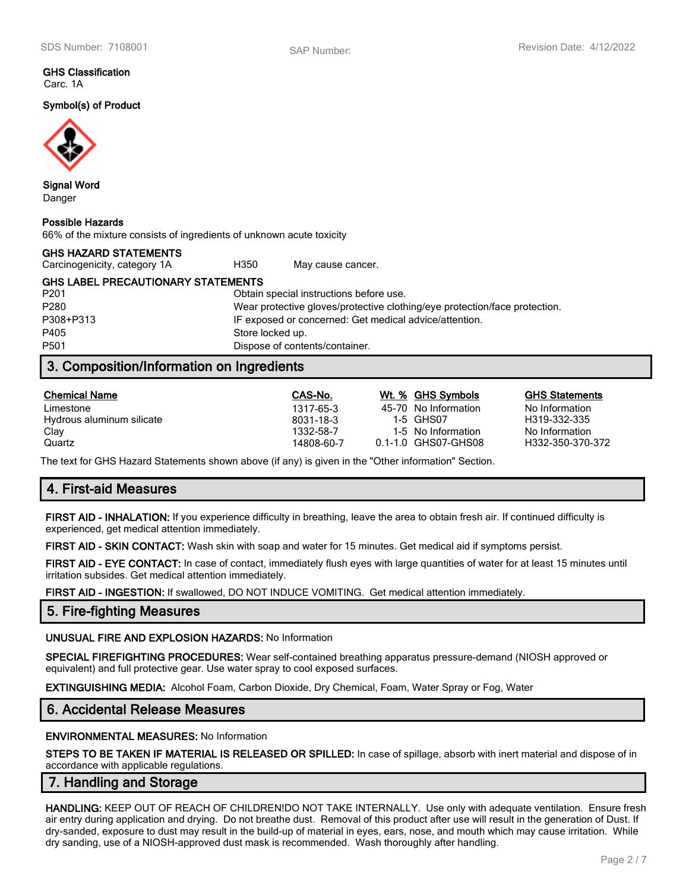#### **GHS Classification** Carc. 1A

**Symbol(s) of Product**



**Signal Word** Danger

### **Possible Hazards**

66% of the mixture consists of ingredients of unknown acute toxicity

| <b>GHS HAZARD STATEMENTS</b>              |      |                   |  |
|-------------------------------------------|------|-------------------|--|
| Carcinogenicity, category 1A              | H350 | May cause cancer. |  |
| <b>GHS LABEL PRECAUTIONARY STATEMENTS</b> |      |                   |  |

P201 Obtain special instructions before use. P280 Wear protective gloves/protective clothing/eye protection/face protection. P308+P313 IF exposed or concerned: Get medical advice/attention. P405 Store locked up. P501 Dispose of contents/container.

# **3. Composition/Information on Ingredients**

| <b>Chemical Name</b>      | CAS-No.    | Wt. % GHS Symbols    | <b>GHS Statements</b> |
|---------------------------|------------|----------------------|-----------------------|
| Limestone                 | 1317-65-3  | 45-70 No Information | No Information        |
| Hydrous aluminum silicate | 8031-18-3  | 1-5 GHS07            | H319-332-335          |
| Clay                      | 1332-58-7  | 1-5 No Information   | No Information        |
| Quartz                    | 14808-60-7 | 0.1-1.0 GHS07-GHS08  | H332-350-370-372      |

The text for GHS Hazard Statements shown above (if any) is given in the "Other information" Section.

# **4. First-aid Measures**

**FIRST AID - INHALATION:** If you experience difficulty in breathing, leave the area to obtain fresh air. If continued difficulty is experienced, get medical attention immediately.

**FIRST AID - SKIN CONTACT:** Wash skin with soap and water for 15 minutes. Get medical aid if symptoms persist.

**FIRST AID - EYE CONTACT:** In case of contact, immediately flush eyes with large quantities of water for at least 15 minutes until irritation subsides. Get medical attention immediately.

**FIRST AID - INGESTION:** If swallowed, DO NOT INDUCE VOMITING. Get medical attention immediately.

## **5. Fire-fighting Measures**

**UNUSUAL FIRE AND EXPLOSION HAZARDS:** No Information

**SPECIAL FIREFIGHTING PROCEDURES:** Wear self-contained breathing apparatus pressure-demand (NIOSH approved or equivalent) and full protective gear. Use water spray to cool exposed surfaces.

**EXTINGUISHING MEDIA:** Alcohol Foam, Carbon Dioxide, Dry Chemical, Foam, Water Spray or Fog, Water

## **6. Accidental Release Measures**

### **ENVIRONMENTAL MEASURES:** No Information

**STEPS TO BE TAKEN IF MATERIAL IS RELEASED OR SPILLED:** In case of spillage, absorb with inert material and dispose of in accordance with applicable regulations.

## **7. Handling and Storage**

**HANDLING:** KEEP OUT OF REACH OF CHILDREN!DO NOT TAKE INTERNALLY. Use only with adequate ventilation. Ensure fresh air entry during application and drying. Do not breathe dust. Removal of this product after use will result in the generation of Dust. If dry-sanded, exposure to dust may result in the build-up of material in eyes, ears, nose, and mouth which may cause irritation. While dry sanding, use of a NIOSH-approved dust mask is recommended. Wash thoroughly after handling.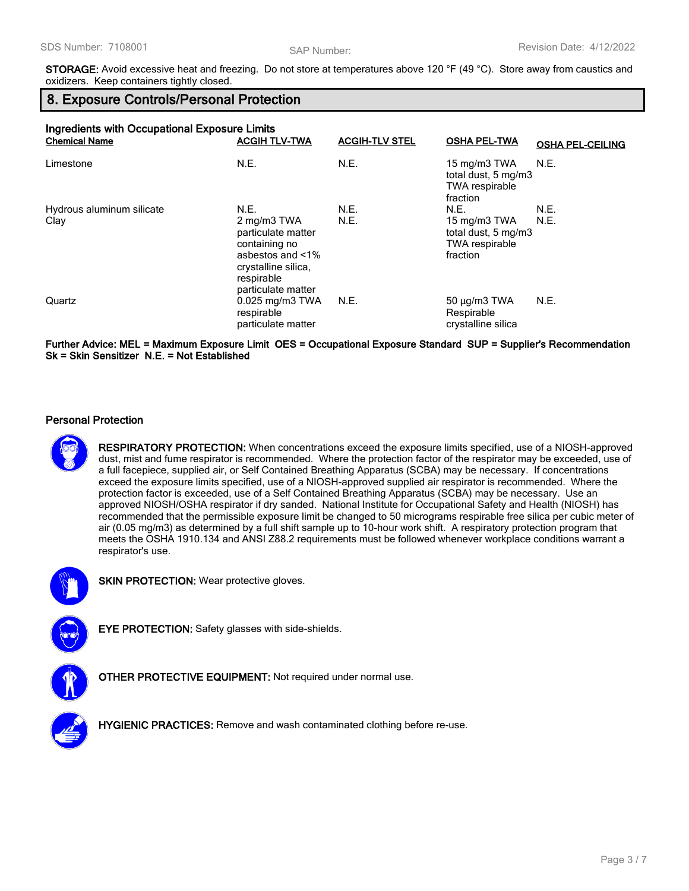**STORAGE:** Avoid excessive heat and freezing. Do not store at temperatures above 120 °F (49 °C). Store away from caustics and oxidizers. Keep containers tightly closed.

# **8. Exposure Controls/Personal Protection**

| Ingredients with Occupational Exposure Limits |                                                                                                                                   |                       |                                                                          |                         |
|-----------------------------------------------|-----------------------------------------------------------------------------------------------------------------------------------|-----------------------|--------------------------------------------------------------------------|-------------------------|
| <b>Chemical Name</b>                          | <b>ACGIH TLV-TWA</b>                                                                                                              | <b>ACGIH-TLV STEL</b> | <b>OSHA PEL-TWA</b>                                                      | <b>OSHA PEL-CEILING</b> |
| Limestone                                     | N.E.                                                                                                                              | N.E.                  | 15 mg/m3 TWA<br>total dust, 5 mg/m3<br><b>TWA respirable</b><br>fraction | N.E.                    |
| Hydrous aluminum silicate                     | N.E.                                                                                                                              | N.E.                  | N.E.                                                                     | N.E.                    |
| Clay                                          | 2 mg/m3 TWA<br>particulate matter<br>containing no<br>asbestos and <1%<br>crystalline silica.<br>respirable<br>particulate matter | N.E.                  | 15 mg/m3 TWA<br>total dust, 5 mg/m3<br><b>TWA respirable</b><br>fraction | N.E.                    |
| Quartz                                        | $0.025$ mg/m3 TWA<br>respirable<br>particulate matter                                                                             | N.E.                  | $50 \mu g/m3$ TWA<br>Respirable<br>crystalline silica                    | N.E.                    |

**Further Advice: MEL = Maximum Exposure Limit OES = Occupational Exposure Standard SUP = Supplier's Recommendation Sk = Skin Sensitizer N.E. = Not Established**

### **Personal Protection**



**RESPIRATORY PROTECTION:** When concentrations exceed the exposure limits specified, use of a NIOSH-approved dust, mist and fume respirator is recommended. Where the protection factor of the respirator may be exceeded, use of a full facepiece, supplied air, or Self Contained Breathing Apparatus (SCBA) may be necessary. If concentrations exceed the exposure limits specified, use of a NIOSH-approved supplied air respirator is recommended. Where the protection factor is exceeded, use of a Self Contained Breathing Apparatus (SCBA) may be necessary. Use an approved NIOSH/OSHA respirator if dry sanded. National Institute for Occupational Safety and Health (NIOSH) has recommended that the permissible exposure limit be changed to 50 micrograms respirable free silica per cubic meter of air (0.05 mg/m3) as determined by a full shift sample up to 10-hour work shift. A respiratory protection program that meets the OSHA 1910.134 and ANSI Z88.2 requirements must be followed whenever workplace conditions warrant a respirator's use.



**SKIN PROTECTION:** Wear protective gloves.



**EYE PROTECTION:** Safety glasses with side-shields.



**OTHER PROTECTIVE EQUIPMENT:** Not required under normal use.



**HYGIENIC PRACTICES:** Remove and wash contaminated clothing before re-use.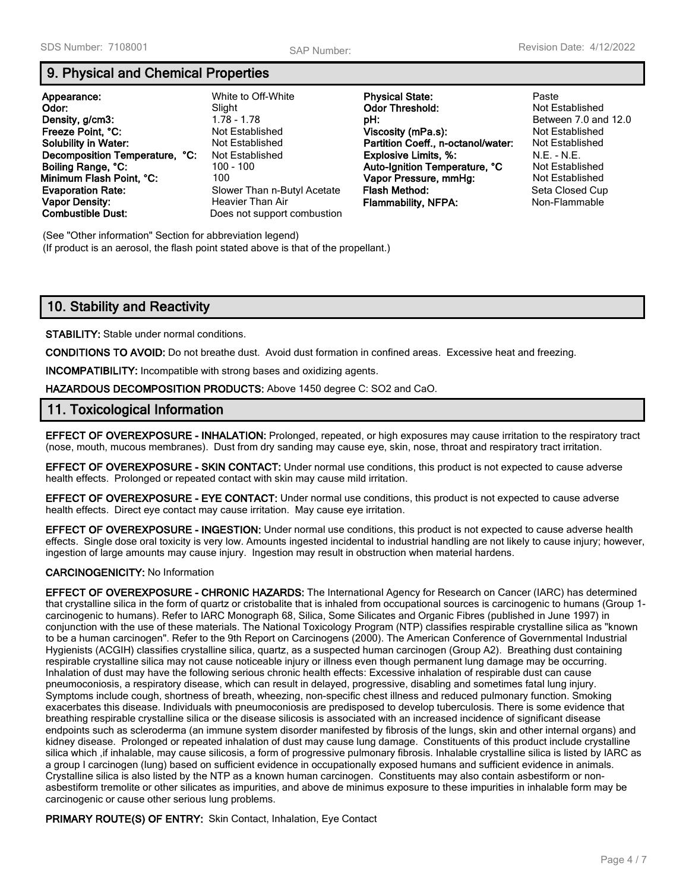# **9. Physical and Chemical Properties**

|                                | White to Off-White          |                                    | Paste                  |
|--------------------------------|-----------------------------|------------------------------------|------------------------|
| Appearance:                    |                             | <b>Physical State:</b>             |                        |
| Odor:                          | Slight                      | <b>Odor Threshold:</b>             | Not Established        |
| Density, g/cm3:                | $1.78 - 1.78$               | pH:                                | Between 7.0 an         |
| Freeze Point, °C:              | Not Established             | Viscosity (mPa.s):                 | Not Established        |
| <b>Solubility in Water:</b>    | Not Established             | Partition Coeff., n-octanol/water: | Not Established        |
| Decomposition Temperature, °C: | Not Established             | <b>Explosive Limits, %:</b>        | $N.E. - N.E.$          |
| Boiling Range, °C:             | 100 - 100                   | Auto-Ignition Temperature, °C      | <b>Not Established</b> |
| Minimum Flash Point, °C:       | 100                         | Vapor Pressure, mmHg:              | <b>Not Established</b> |
| <b>Evaporation Rate:</b>       | Slower Than n-Butyl Acetate | Flash Method:                      | Seta Closed Cu         |
| <b>Vapor Density:</b>          | Heavier Than Air            | <b>Flammability, NFPA:</b>         | Non-Flammable          |
| <b>Combustible Dust:</b>       | Does not support combustion |                                    |                        |

**Density, g/cm3:** 1.78 - 1.78 **pH:** Between 7.0 and 12.0 **Not Established Condision Established Participles Brature, °C** Not Established **Minimum Flash Point** Point Established **Seta Closed Cup Vapor Density:** Heavier Than Air **Flammability, NFPA:** Non-Flammable

(See "Other information" Section for abbreviation legend) (If product is an aerosol, the flash point stated above is that of the propellant.)

# **10. Stability and Reactivity**

**STABILITY:** Stable under normal conditions.

**CONDITIONS TO AVOID:** Do not breathe dust. Avoid dust formation in confined areas. Excessive heat and freezing.

**INCOMPATIBILITY:** Incompatible with strong bases and oxidizing agents.

**HAZARDOUS DECOMPOSITION PRODUCTS:** Above 1450 degree C: SO2 and CaO.

## **11. Toxicological Information**

**EFFECT OF OVEREXPOSURE - INHALATION:** Prolonged, repeated, or high exposures may cause irritation to the respiratory tract (nose, mouth, mucous membranes). Dust from dry sanding may cause eye, skin, nose, throat and respiratory tract irritation.

**EFFECT OF OVEREXPOSURE - SKIN CONTACT:** Under normal use conditions, this product is not expected to cause adverse health effects. Prolonged or repeated contact with skin may cause mild irritation.

**EFFECT OF OVEREXPOSURE - EYE CONTACT:** Under normal use conditions, this product is not expected to cause adverse health effects. Direct eye contact may cause irritation. May cause eye irritation.

**EFFECT OF OVEREXPOSURE - INGESTION:** Under normal use conditions, this product is not expected to cause adverse health effects. Single dose oral toxicity is very low. Amounts ingested incidental to industrial handling are not likely to cause injury; however, ingestion of large amounts may cause injury. Ingestion may result in obstruction when material hardens.

### **CARCINOGENICITY:** No Information

**EFFECT OF OVEREXPOSURE - CHRONIC HAZARDS:** The International Agency for Research on Cancer (IARC) has determined that crystalline silica in the form of quartz or cristobalite that is inhaled from occupational sources is carcinogenic to humans (Group 1 carcinogenic to humans). Refer to IARC Monograph 68, Silica, Some Silicates and Organic Fibres (published in June 1997) in conjunction with the use of these materials. The National Toxicology Program (NTP) classifies respirable crystalline silica as "known to be a human carcinogen". Refer to the 9th Report on Carcinogens (2000). The American Conference of Governmental Industrial Hygienists (ACGIH) classifies crystalline silica, quartz, as a suspected human carcinogen (Group A2). Breathing dust containing respirable crystalline silica may not cause noticeable injury or illness even though permanent lung damage may be occurring. Inhalation of dust may have the following serious chronic health effects: Excessive inhalation of respirable dust can cause pneumoconiosis, a respiratory disease, which can result in delayed, progressive, disabling and sometimes fatal lung injury. Symptoms include cough, shortness of breath, wheezing, non-specific chest illness and reduced pulmonary function. Smoking exacerbates this disease. Individuals with pneumoconiosis are predisposed to develop tuberculosis. There is some evidence that breathing respirable crystalline silica or the disease silicosis is associated with an increased incidence of significant disease endpoints such as scleroderma (an immune system disorder manifested by fibrosis of the lungs, skin and other internal organs) and kidney disease. Prolonged or repeated inhalation of dust may cause lung damage. Constituents of this product include crystalline silica which ,if inhalable, may cause silicosis, a form of progressive pulmonary fibrosis. Inhalable crystalline silica is listed by IARC as a group I carcinogen (lung) based on sufficient evidence in occupationally exposed humans and sufficient evidence in animals. Crystalline silica is also listed by the NTP as a known human carcinogen. Constituents may also contain asbestiform or nonasbestiform tremolite or other silicates as impurities, and above de minimus exposure to these impurities in inhalable form may be carcinogenic or cause other serious lung problems.

**PRIMARY ROUTE(S) OF ENTRY:** Skin Contact, Inhalation, Eye Contact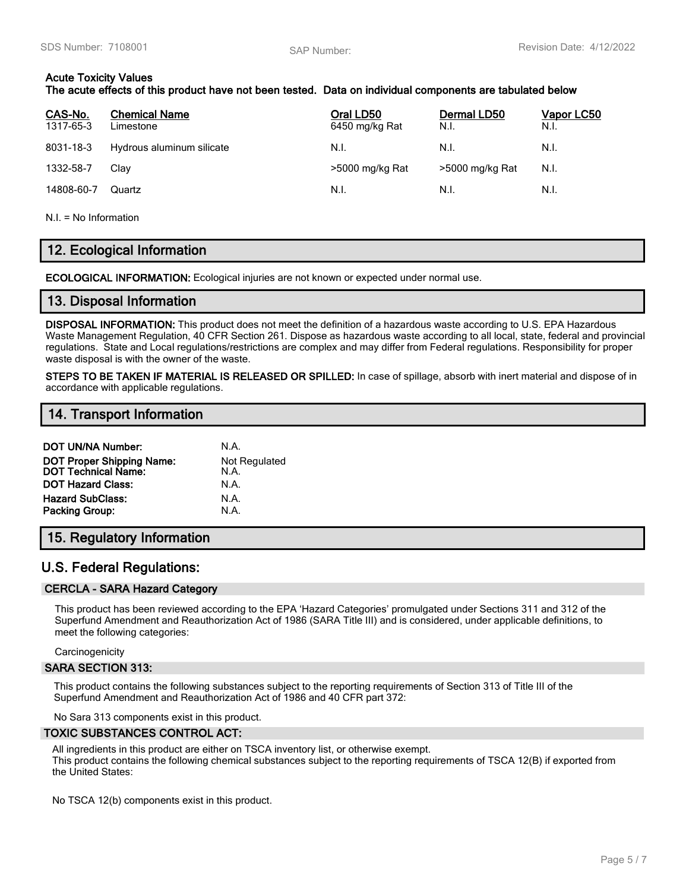## **Acute Toxicity Values**

## **The acute effects of this product have not been tested. Data on individual components are tabulated below**

| CAS-No.<br>1317-65-3 | <b>Chemical Name</b><br>Limestone | Oral LD50<br>6450 mg/kg Rat | Dermal LD50<br>N.I. | <u> Vapor LC50</u><br>N.I. |
|----------------------|-----------------------------------|-----------------------------|---------------------|----------------------------|
| 8031-18-3            | Hydrous aluminum silicate         | N.I.                        | N.I.                | N.I.                       |
| 1332-58-7            | Clav                              | >5000 mg/kg Rat             | >5000 mg/kg Rat     | N.I.                       |
| 14808-60-7           | Quartz                            | N.I.                        | N.I.                | N.I.                       |

N.I. = No Information

# **12. Ecological Information**

**ECOLOGICAL INFORMATION:** Ecological injuries are not known or expected under normal use.

### **13. Disposal Information**

**DISPOSAL INFORMATION:** This product does not meet the definition of a hazardous waste according to U.S. EPA Hazardous Waste Management Regulation, 40 CFR Section 261. Dispose as hazardous waste according to all local, state, federal and provincial regulations. State and Local regulations/restrictions are complex and may differ from Federal regulations. Responsibility for proper waste disposal is with the owner of the waste.

**STEPS TO BE TAKEN IF MATERIAL IS RELEASED OR SPILLED:** In case of spillage, absorb with inert material and dispose of in accordance with applicable regulations.

## **14. Transport Information**

| <b>DOT UN/NA Number:</b>                                       | N.A.                  |
|----------------------------------------------------------------|-----------------------|
| <b>DOT Proper Shipping Name:</b><br><b>DOT Technical Name:</b> | Not Regulated<br>N.A. |
| <b>DOT Hazard Class:</b>                                       | N.A.                  |
| <b>Hazard SubClass:</b>                                        | N.A.                  |
| Packing Group:                                                 | N.A.                  |

# **15. Regulatory Information**

# **U.S. Federal Regulations:**

### **CERCLA - SARA Hazard Category**

This product has been reviewed according to the EPA 'Hazard Categories' promulgated under Sections 311 and 312 of the Superfund Amendment and Reauthorization Act of 1986 (SARA Title III) and is considered, under applicable definitions, to meet the following categories:

**Carcinogenicity** 

### **SARA SECTION 313:**

This product contains the following substances subject to the reporting requirements of Section 313 of Title III of the Superfund Amendment and Reauthorization Act of 1986 and 40 CFR part 372:

No Sara 313 components exist in this product.

### **TOXIC SUBSTANCES CONTROL ACT:**

All ingredients in this product are either on TSCA inventory list, or otherwise exempt. This product contains the following chemical substances subject to the reporting requirements of TSCA 12(B) if exported from the United States:

No TSCA 12(b) components exist in this product.